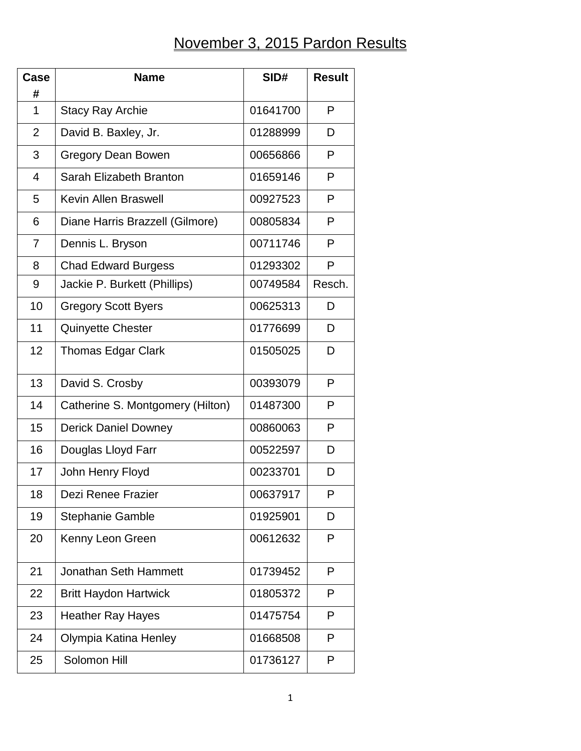## November 3, 2015 Pardon Results

| Case           | <b>Name</b>                      | SID#     | <b>Result</b> |
|----------------|----------------------------------|----------|---------------|
| #              |                                  |          |               |
| 1              | <b>Stacy Ray Archie</b>          | 01641700 | P             |
| $\overline{2}$ | David B. Baxley, Jr.             | 01288999 | D             |
| 3              | Gregory Dean Bowen               | 00656866 | P             |
| 4              | Sarah Elizabeth Branton          | 01659146 | P             |
| 5              | <b>Kevin Allen Braswell</b>      | 00927523 | P             |
| 6              | Diane Harris Brazzell (Gilmore)  | 00805834 | P             |
| $\overline{7}$ | Dennis L. Bryson                 | 00711746 | P             |
| 8              | <b>Chad Edward Burgess</b>       | 01293302 | P             |
| 9              | Jackie P. Burkett (Phillips)     | 00749584 | Resch.        |
| 10             | <b>Gregory Scott Byers</b>       | 00625313 | D             |
| 11             | <b>Quinyette Chester</b>         | 01776699 | D             |
| 12             | <b>Thomas Edgar Clark</b>        | 01505025 | D             |
| 13             | David S. Crosby                  | 00393079 | P             |
| 14             | Catherine S. Montgomery (Hilton) | 01487300 | P             |
| 15             | <b>Derick Daniel Downey</b>      | 00860063 | P             |
| 16             | Douglas Lloyd Farr               | 00522597 | D             |
| 17             | John Henry Floyd                 | 00233701 | D             |
| 18             | Dezi Renee Frazier               | 00637917 | P             |
| 19             | <b>Stephanie Gamble</b>          | 01925901 | D             |
| 20             | Kenny Leon Green                 | 00612632 | P             |
| 21             | <b>Jonathan Seth Hammett</b>     | 01739452 | P             |
| 22             | <b>Britt Haydon Hartwick</b>     | 01805372 | P             |
| 23             | <b>Heather Ray Hayes</b>         | 01475754 | P             |
| 24             | Olympia Katina Henley            | 01668508 | P             |
| 25             | Solomon Hill                     | 01736127 | P             |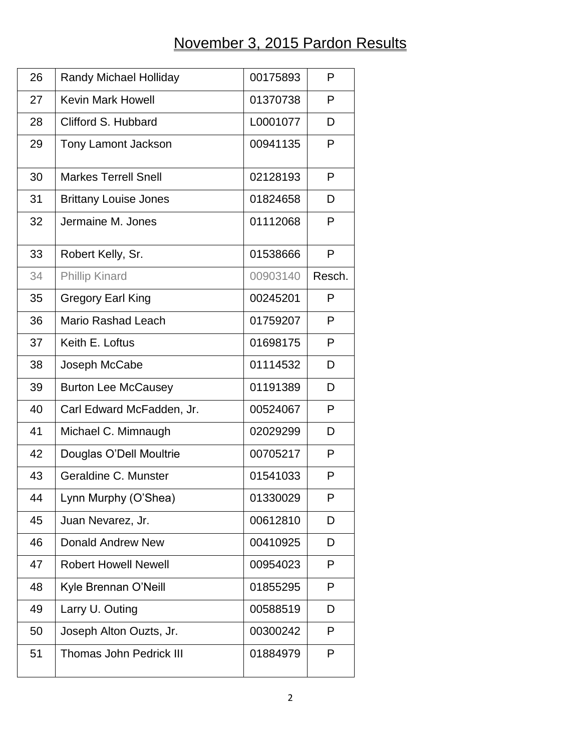## November 3, 2015 Pardon Results

| 26 | <b>Randy Michael Holliday</b>  | 00175893 | P      |
|----|--------------------------------|----------|--------|
| 27 | <b>Kevin Mark Howell</b>       | 01370738 | P      |
| 28 | Clifford S. Hubbard            | L0001077 | D      |
| 29 | <b>Tony Lamont Jackson</b>     | 00941135 | P      |
| 30 | <b>Markes Terrell Snell</b>    | 02128193 | P      |
| 31 | <b>Brittany Louise Jones</b>   | 01824658 | D      |
| 32 | Jermaine M. Jones              | 01112068 | P      |
| 33 | Robert Kelly, Sr.              | 01538666 | P      |
| 34 | <b>Phillip Kinard</b>          | 00903140 | Resch. |
| 35 | <b>Gregory Earl King</b>       | 00245201 | P      |
| 36 | Mario Rashad Leach             | 01759207 | P      |
| 37 | Keith E. Loftus                | 01698175 | P      |
| 38 | Joseph McCabe                  | 01114532 | D      |
| 39 | <b>Burton Lee McCausey</b>     | 01191389 | D      |
| 40 | Carl Edward McFadden, Jr.      | 00524067 | P      |
| 41 | Michael C. Mimnaugh            | 02029299 | D      |
| 42 | Douglas O'Dell Moultrie        | 00705217 | P      |
| 43 | Geraldine C. Munster           | 01541033 | P      |
| 44 | Lynn Murphy (O'Shea)           | 01330029 | P      |
| 45 | Juan Nevarez, Jr.              | 00612810 | D      |
| 46 | Donald Andrew New              | 00410925 | D      |
| 47 | <b>Robert Howell Newell</b>    | 00954023 | P      |
| 48 | Kyle Brennan O'Neill           | 01855295 | P      |
| 49 | Larry U. Outing                | 00588519 | D      |
| 50 | Joseph Alton Ouzts, Jr.        | 00300242 | P      |
| 51 | <b>Thomas John Pedrick III</b> | 01884979 | P      |